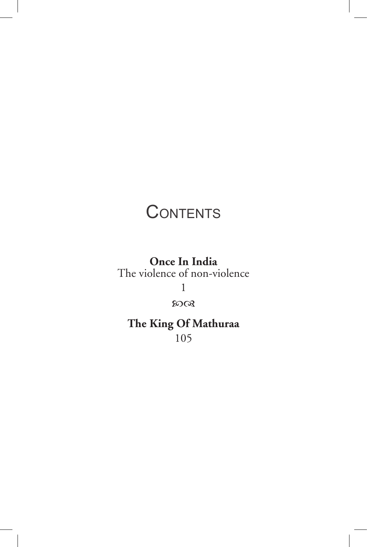# **CONTENTS**

**Once In India** The violence of non-violence 1

 $50Q$ 

**The King Of Mathuraa** 105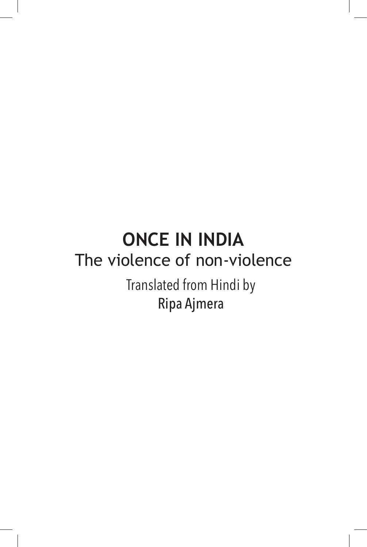# **ONCE IN INDIA** The violence of non-violence

Translated from Hindi by Ripa Ajmera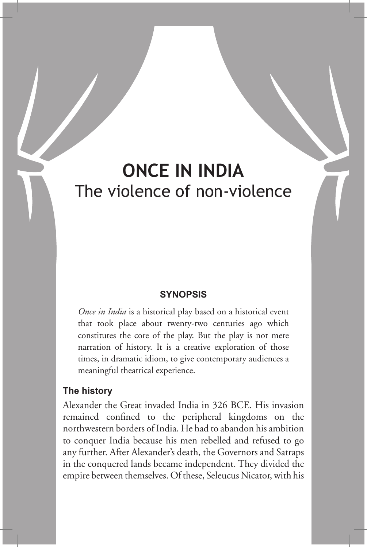## **ONCE IN INDIA** The violence of non-violence

### **SYNOPSIS**

*Once in India* is a historical play based on a historical event that took place about twenty-two centuries ago which constitutes the core of the play. But the play is not mere narration of history. It is a creative exploration of those times, in dramatic idiom, to give contemporary audiences a meaningful theatrical experience.

#### **The history**

Alexander the Great invaded India in 326 BCE. His invasion remained confined to the peripheral kingdoms on the northwestern borders of India. He had to abandon his ambition to conquer India because his men rebelled and refused to go any further. After Alexander's death, the Governors and Satraps in the conquered lands became independent. They divided the empire between themselves. Of these, Seleucus Nicator, with his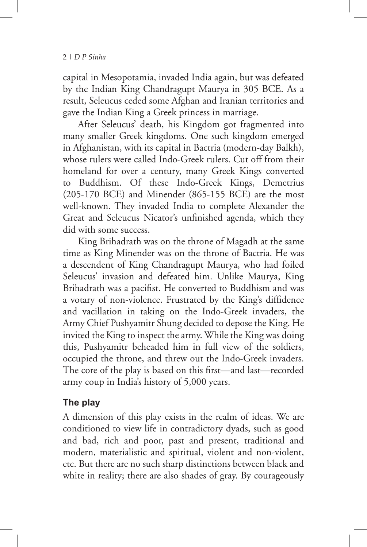capital in Mesopotamia, invaded India again, but was defeated by the Indian King Chandragupt Maurya in 305 BCE. As a result, Seleucus ceded some Afghan and Iranian territories and gave the Indian King a Greek princess in marriage.

After Seleucus' death, his Kingdom got fragmented into many smaller Greek kingdoms. One such kingdom emerged in Afghanistan, with its capital in Bactria (modern-day Balkh), whose rulers were called Indo-Greek rulers. Cut off from their homeland for over a century, many Greek Kings converted to Buddhism. Of these Indo-Greek Kings, Demetrius (205-170 BCE) and Minender (865-155 BCE) are the most well-known. They invaded India to complete Alexander the Great and Seleucus Nicator's unfinished agenda, which they did with some success.

King Brihadrath was on the throne of Magadh at the same time as King Minender was on the throne of Bactria. He was a descendent of King Chandragupt Maurya, who had foiled Seleucus' invasion and defeated him. Unlike Maurya, King Brihadrath was a pacifist. He converted to Buddhism and was a votary of non-violence. Frustrated by the King's diffidence and vacillation in taking on the Indo-Greek invaders, the Army Chief Pushyamitr Shung decided to depose the King. He invited the King to inspect the army. While the King was doing this, Pushyamitr beheaded him in full view of the soldiers, occupied the throne, and threw out the Indo-Greek invaders. The core of the play is based on this first—and last—recorded army coup in India's history of 5,000 years.

### **The play**

A dimension of this play exists in the realm of ideas. We are conditioned to view life in contradictory dyads, such as good and bad, rich and poor, past and present, traditional and modern, materialistic and spiritual, violent and non-violent, etc. But there are no such sharp distinctions between black and white in reality; there are also shades of gray. By courageously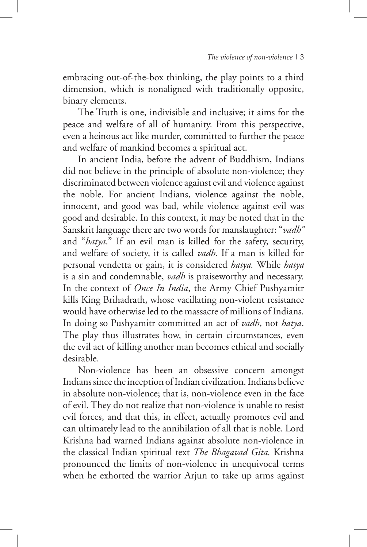embracing out-of-the-box thinking, the play points to a third dimension, which is nonaligned with traditionally opposite, binary elements.

The Truth is one, indivisible and inclusive; it aims for the peace and welfare of all of humanity. From this perspective, even a heinous act like murder, committed to further the peace and welfare of mankind becomes a spiritual act.

In ancient India, before the advent of Buddhism, Indians did not believe in the principle of absolute non-violence; they discriminated between violence against evil and violence against the noble. For ancient Indians, violence against the noble, innocent, and good was bad, while violence against evil was good and desirable. In this context, it may be noted that in the Sanskrit language there are two words for manslaughter: "*vadh"* and "*hatya*." If an evil man is killed for the safety, security, and welfare of society, it is called *vadh.* If a man is killed for personal vendetta or gain, it is considered *hatya.* While *hatya*  is a sin and condemnable, *vadh* is praiseworthy and necessary. In the context of *Once In India*, the Army Chief Pushyamitr kills King Brihadrath, whose vacillating non-violent resistance would have otherwise led to the massacre of millions of Indians. In doing so Pushyamitr committed an act of *vadh*, not *hatya*. The play thus illustrates how, in certain circumstances, even the evil act of killing another man becomes ethical and socially desirable.

Non-violence has been an obsessive concern amongst Indians since the inception of Indian civilization. Indians believe in absolute non-violence; that is, non-violence even in the face of evil. They do not realize that non-violence is unable to resist evil forces, and that this, in effect, actually promotes evil and can ultimately lead to the annihilation of all that is noble. Lord Krishna had warned Indians against absolute non-violence in the classical Indian spiritual text *The Bhagavad Gita.* Krishna pronounced the limits of non-violence in unequivocal terms when he exhorted the warrior Arjun to take up arms against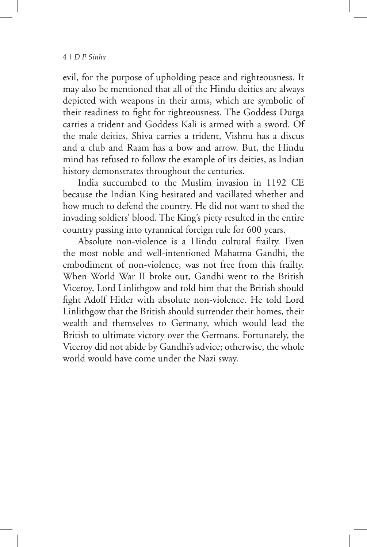evil, for the purpose of upholding peace and righteousness. It may also be mentioned that all of the Hindu deities are always depicted with weapons in their arms, which are symbolic of their readiness to fight for righteousness. The Goddess Durga carries a trident and Goddess Kali is armed with a sword. Of the male deities, Shiva carries a trident, Vishnu has a discus and a club and Raam has a bow and arrow. But, the Hindu mind has refused to follow the example of its deities, as Indian history demonstrates throughout the centuries.

India succumbed to the Muslim invasion in 1192 CE because the Indian King hesitated and vacillated whether and how much to defend the country. He did not want to shed the invading soldiers' blood. The King's piety resulted in the entire country passing into tyrannical foreign rule for 600 years.

Absolute non-violence is a Hindu cultural frailty. Even the most noble and well-intentioned Mahatma Gandhi, the embodiment of non-violence, was not free from this frailty. When World War II broke out, Gandhi went to the British Viceroy, Lord Linlithgow and told him that the British should fight Adolf Hitler with absolute non-violence. He told Lord Linlithgow that the British should surrender their homes, their wealth and themselves to Germany, which would lead the British to ultimate victory over the Germans. Fortunately, the Viceroy did not abide by Gandhi's advice; otherwise, the whole world would have come under the Nazi sway.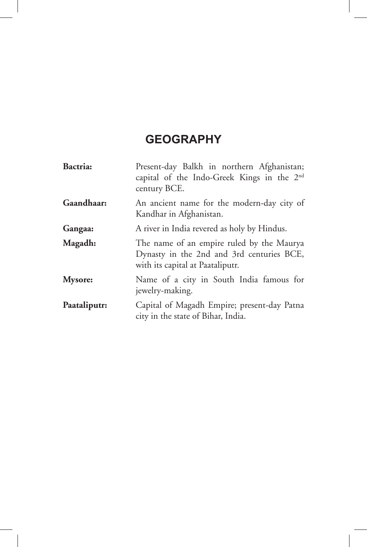### **GEOGRAPHY**

| Bactria:       | Present-day Balkh in northern Afghanistan;<br>capital of the Indo-Greek Kings in the 2 <sup>nd</sup><br>century BCE.       |  |  |
|----------------|----------------------------------------------------------------------------------------------------------------------------|--|--|
| Gaandhaar:     | An ancient name for the modern-day city of<br>Kandhar in Afghanistan.                                                      |  |  |
| Gangaa:        | A river in India revered as holy by Hindus.                                                                                |  |  |
| Magadh:        | The name of an empire ruled by the Maurya<br>Dynasty in the 2nd and 3rd centuries BCE,<br>with its capital at Paataliputr. |  |  |
| <b>Mysore:</b> | Name of a city in South India famous for<br>jewelry-making.                                                                |  |  |
| Paataliputr:   | Capital of Magadh Empire; present-day Patna<br>city in the state of Bihar, India.                                          |  |  |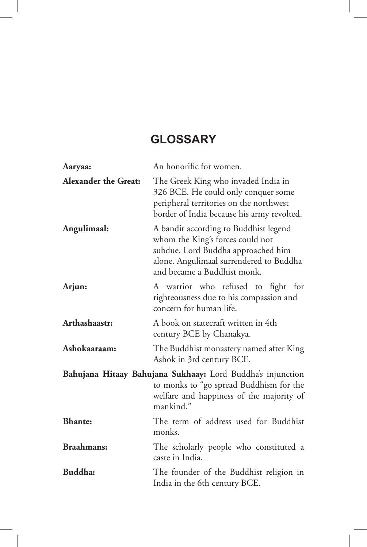### **GLOSSARY**

| Aaryaa:                     | An honorific for women.                                                                                                                                                                   |
|-----------------------------|-------------------------------------------------------------------------------------------------------------------------------------------------------------------------------------------|
| <b>Alexander the Great:</b> | The Greek King who invaded India in<br>326 BCE. He could only conquer some<br>peripheral territories on the northwest<br>border of India because his army revolted.                       |
| Angulimaal:                 | A bandit according to Buddhist legend<br>whom the King's forces could not<br>subdue. Lord Buddha approached him<br>alone. Angulimaal surrendered to Buddha<br>and became a Buddhist monk. |
| Arjun:                      | A warrior who refused to fight for<br>righteousness due to his compassion and<br>concern for human life.                                                                                  |
| Arthashaastr:               | A book on statecraft written in 4th<br>century BCE by Chanakya.                                                                                                                           |
| Ashokaaraam:                | The Buddhist monastery named after King<br>Ashok in 3rd century BCE.                                                                                                                      |
|                             | Bahujana Hitaay Bahujana Sukhaay: Lord Buddha's injunction<br>to monks to "go spread Buddhism for the<br>welfare and happiness of the majority of<br>mankind."                            |
| <b>Bhante:</b>              | The term of address used for Buddhist<br>monks.                                                                                                                                           |
| <b>Braahmans:</b>           | The scholarly people who constituted a<br>caste in India.                                                                                                                                 |
| Buddha:                     | The founder of the Buddhist religion in<br>India in the 6th century BCE.                                                                                                                  |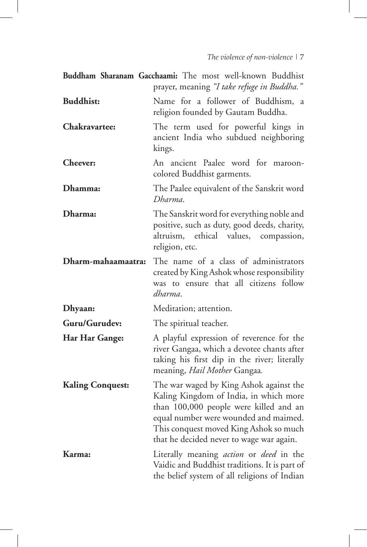|                         | Buddham Sharanam Gacchaami: The most well-known Buddhist<br>prayer, meaning "I take refuge in Buddha."                                                                                                                                                     |
|-------------------------|------------------------------------------------------------------------------------------------------------------------------------------------------------------------------------------------------------------------------------------------------------|
| <b>Buddhist:</b>        | Name for a follower of Buddhism,<br>a<br>religion founded by Gautam Buddha.                                                                                                                                                                                |
| Chakravartee:           | The term used for powerful kings in<br>ancient India who subdued neighboring<br>kings.                                                                                                                                                                     |
| <b>Cheever:</b>         | An ancient Paalee word for maroon-<br>colored Buddhist garments.                                                                                                                                                                                           |
| Dhamma:                 | The Paalee equivalent of the Sanskrit word<br>Dharma.                                                                                                                                                                                                      |
| Dharma:                 | The Sanskrit word for everything noble and<br>positive, such as duty, good deeds, charity,<br>altruism,<br>ethical<br>values, compassion,<br>religion, etc.                                                                                                |
| Dharm-mahaamaatra:      | The name of a class of administrators<br>created by King Ashok whose responsibility<br>was to ensure that all citizens follow<br>dharma.                                                                                                                   |
| Dhyaan:                 | Meditation; attention.                                                                                                                                                                                                                                     |
| Guru/Gurudev:           | The spiritual teacher.                                                                                                                                                                                                                                     |
| Har Har Gange:          | A playful expression of reverence for the<br>river Gangaa, which a devotee chants after<br>taking his first dip in the river; literally<br>meaning, Hail Mother Gangaa.                                                                                    |
| <b>Kaling Conquest:</b> | The war waged by King Ashok against the<br>Kaling Kingdom of India, in which more<br>than 100,000 people were killed and an<br>equal number were wounded and maimed.<br>This conquest moved King Ashok so much<br>that he decided never to wage war again. |
| Karma:                  | Literally meaning <i>action</i> or <i>deed</i> in the<br>Vaidic and Buddhist traditions. It is part of<br>the belief system of all religions of Indian                                                                                                     |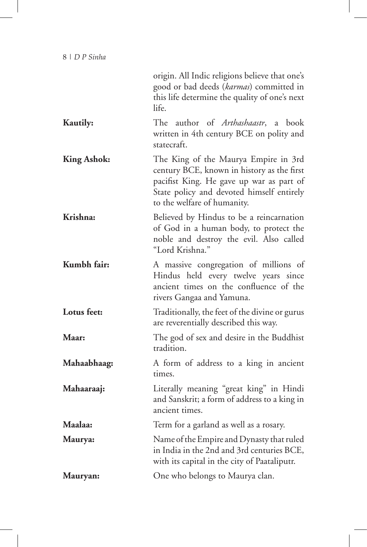| 8   D P Sinha      |                                                                                                                                                                                                            |
|--------------------|------------------------------------------------------------------------------------------------------------------------------------------------------------------------------------------------------------|
|                    | origin. All Indic religions believe that one's<br>good or bad deeds (karmas) committed in<br>this life determine the quality of one's next<br>life.                                                        |
| <b>Kautily:</b>    | The author of Arthashaastr, a<br>book<br>written in 4th century BCE on polity and<br>statecraft.                                                                                                           |
| <b>King Ashok:</b> | The King of the Maurya Empire in 3rd<br>century BCE, known in history as the first<br>pacifist King. He gave up war as part of<br>State policy and devoted himself entirely<br>to the welfare of humanity. |
| Krishna:           | Believed by Hindus to be a reincarnation<br>of God in a human body, to protect the<br>noble and destroy the evil. Also called<br>"Lord Krishna."                                                           |
| Kumbh fair:        | A massive congregation of millions of<br>Hindus held every twelve years since<br>ancient times on the confluence of the<br>rivers Gangaa and Yamuna.                                                       |
| Lotus feet:        | Traditionally, the feet of the divine or gurus<br>are reverentially described this way.                                                                                                                    |
| Maar:              | The god of sex and desire in the Buddhist<br>tradition.                                                                                                                                                    |
| Mahaabhaag:        | A form of address to a king in ancient<br>times.                                                                                                                                                           |
| Mahaaraaj:         | Literally meaning "great king" in Hindi<br>and Sanskrit; a form of address to a king in<br>ancient times.                                                                                                  |
| Maalaa:            | Term for a garland as well as a rosary.                                                                                                                                                                    |
| Maurya:            | Name of the Empire and Dynasty that ruled<br>in India in the 2nd and 3rd centuries BCE,<br>with its capital in the city of Paataliputr.                                                                    |
| Mauryan:           | One who belongs to Maurya clan.                                                                                                                                                                            |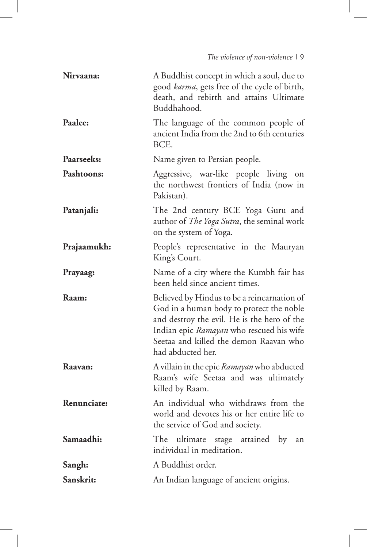| Nirvaana:    | A Buddhist concept in which a soul, due to<br>good karma, gets free of the cycle of birth,<br>death, and rebirth and attains Ultimate<br>Buddhahood.                                                                                              |  |  |
|--------------|---------------------------------------------------------------------------------------------------------------------------------------------------------------------------------------------------------------------------------------------------|--|--|
| Paalee:      | The language of the common people of<br>ancient India from the 2nd to 6th centuries<br>BCE.                                                                                                                                                       |  |  |
| Paarseeks:   | Name given to Persian people.                                                                                                                                                                                                                     |  |  |
| Pashtoons:   | Aggressive, war-like people living on<br>the northwest frontiers of India (now in<br>Pakistan).                                                                                                                                                   |  |  |
| Patanjali:   | The 2nd century BCE Yoga Guru and<br>author of <i>The Yoga Sutra</i> , the seminal work<br>on the system of Yoga.                                                                                                                                 |  |  |
| Prajaamukh:  | People's representative in the Mauryan<br>King's Court.                                                                                                                                                                                           |  |  |
| Prayaag:     | Name of a city where the Kumbh fair has<br>been held since ancient times.                                                                                                                                                                         |  |  |
| <b>Raam:</b> | Believed by Hindus to be a reincarnation of<br>God in a human body to protect the noble<br>and destroy the evil. He is the hero of the<br>Indian epic Ramayan who rescued his wife<br>Seetaa and killed the demon Raavan who<br>had abducted her. |  |  |
| Raavan:      | A villain in the epic Ramayan who abducted<br>Raam's wife Seetaa and was ultimately<br>killed by Raam.                                                                                                                                            |  |  |
| Renunciate:  | An individual who withdraws from the<br>world and devotes his or her entire life to<br>the service of God and society.                                                                                                                            |  |  |
| Samaadhi:    | ultimate stage attained<br>by<br>The<br>an<br>individual in meditation.                                                                                                                                                                           |  |  |
| Sangh:       | A Buddhist order.                                                                                                                                                                                                                                 |  |  |
| Sanskrit:    | An Indian language of ancient origins.                                                                                                                                                                                                            |  |  |

I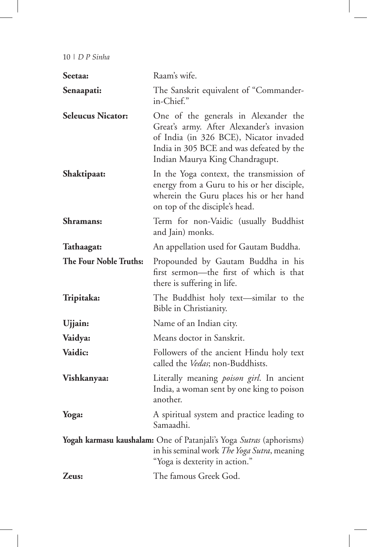| Seetaa:                  | Raam's wife.                                                                                                                                                                                              |
|--------------------------|-----------------------------------------------------------------------------------------------------------------------------------------------------------------------------------------------------------|
| Senaapati:               | The Sanskrit equivalent of "Commander-<br>in-Chief."                                                                                                                                                      |
| <b>Seleucus Nicator:</b> | One of the generals in Alexander the<br>Great's army. After Alexander's invasion<br>of India (in 326 BCE), Nicator invaded<br>India in 305 BCE and was defeated by the<br>Indian Maurya King Chandragupt. |
| Shaktipaat:              | In the Yoga context, the transmission of<br>energy from a Guru to his or her disciple,<br>wherein the Guru places his or her hand<br>on top of the disciple's head.                                       |
| Shramans:                | Term for non-Vaidic (usually Buddhist<br>and Jain) monks.                                                                                                                                                 |
| Tathaagat:               | An appellation used for Gautam Buddha.                                                                                                                                                                    |
| The Four Noble Truths:   | Propounded by Gautam Buddha in his<br>first sermon-the first of which is that<br>there is suffering in life.                                                                                              |
| Tripitaka:               | The Buddhist holy text-similar to the<br>Bible in Christianity.                                                                                                                                           |
| Ujjain:                  | Name of an Indian city.                                                                                                                                                                                   |
| Vaidya:                  | Means doctor in Sanskrit.                                                                                                                                                                                 |
| Vaidic:                  | Followers of the ancient Hindu holy text<br>called the Vedas; non-Buddhists.                                                                                                                              |
| Vishkanyaa:              | Literally meaning <i>poison girl</i> . In ancient<br>India, a woman sent by one king to poison<br>another.                                                                                                |
| Yoga:                    | A spiritual system and practice leading to<br>Samaadhi.                                                                                                                                                   |
|                          | Yogah karmasu kaushalam: One of Patanjali's Yoga Sutras (aphorisms)<br>in his seminal work The Yoga Sutra, meaning<br>"Yoga is dexterity in action."                                                      |
| Zeus:                    | The famous Greek God.                                                                                                                                                                                     |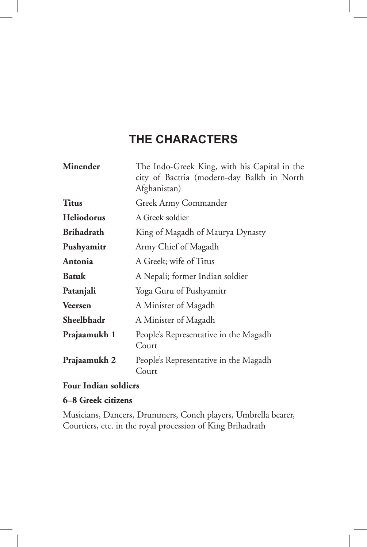### **THE CHARACTERS**

| <b>Minender</b>   | The Indo-Greek King, with his Capital in the<br>city of Bactria (modern-day Balkh in North<br>Afghanistan) |  |  |
|-------------------|------------------------------------------------------------------------------------------------------------|--|--|
| <b>Titus</b>      | Greek Army Commander                                                                                       |  |  |
| <b>Heliodorus</b> | A Greek soldier                                                                                            |  |  |
| <b>Brihadrath</b> | King of Magadh of Maurya Dynasty                                                                           |  |  |
| Pushyamitr        | Army Chief of Magadh                                                                                       |  |  |
| Antonia           | A Greek; wife of Titus                                                                                     |  |  |
| <b>Batuk</b>      | A Nepali; former Indian soldier                                                                            |  |  |
| Patanjali         | Yoga Guru of Pushyamitr                                                                                    |  |  |
| <b>Veersen</b>    | A Minister of Magadh                                                                                       |  |  |
| Sheelbhadr        | A Minister of Magadh                                                                                       |  |  |
| Prajaamukh 1      | People's Representative in the Magadh<br>Court                                                             |  |  |
| Prajaamukh 2      | People's Representative in the Magadh<br>Court                                                             |  |  |

### **Four Indian soldiers**

### **6–8 Greek citizens**

Musicians, Dancers, Drummers, Conch players, Umbrella bearer, Courtiers, etc. in the royal procession of King Brihadrath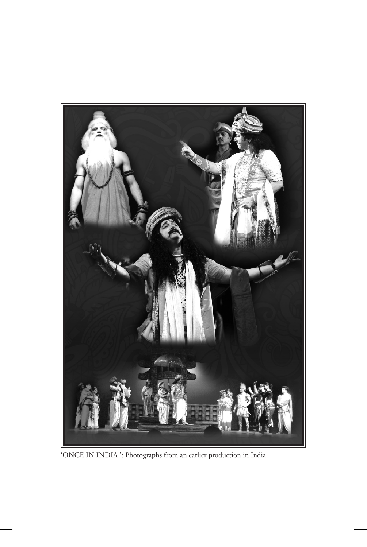

'ONCE IN INDIA ': Photographs from an earlier production in India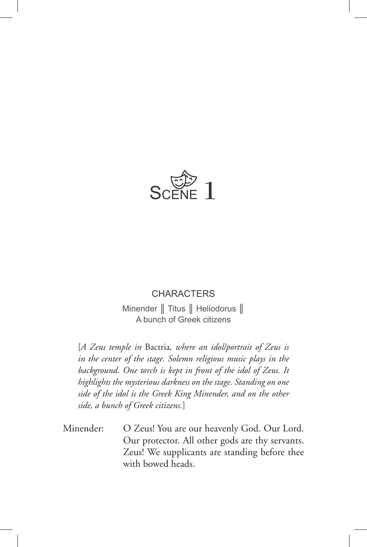

### **CHARACTERS**

Minender || Titus || Heliodorus || A bunch of Greek citizens

[*A Zeus temple in* Bactria*, where an idol/portrait of Zeus is in the center of the stage. Solemn religious music plays in the background. One torch is kept in front of the idol of Zeus. It highlights the mysterious darkness on the stage. Standing on one side of the idol is the Greek King Minender, and on the other side, a bunch of Greek citizens.*]

Minender: O Zeus! You are our heavenly God. Our Lord. Our protector. All other gods are thy servants. Zeus! We supplicants are standing before thee with bowed heads.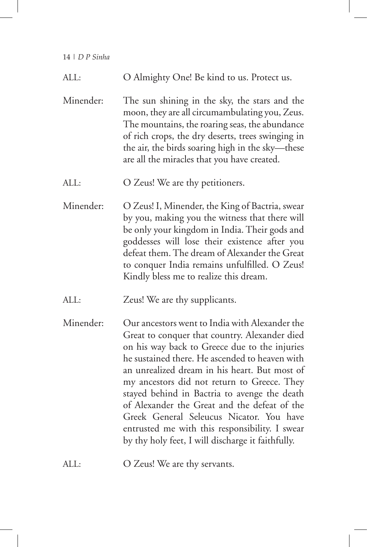I

I

| ALL:      | O Almighty One! Be kind to us. Protect us.                                                                                                                                                                                                                                                                                                                                                                                                                                                                                                            |
|-----------|-------------------------------------------------------------------------------------------------------------------------------------------------------------------------------------------------------------------------------------------------------------------------------------------------------------------------------------------------------------------------------------------------------------------------------------------------------------------------------------------------------------------------------------------------------|
| Minender: | The sun shining in the sky, the stars and the<br>moon, they are all circumambulating you, Zeus.<br>The mountains, the roaring seas, the abundance<br>of rich crops, the dry deserts, trees swinging in<br>the air, the birds soaring high in the sky-these<br>are all the miracles that you have created.                                                                                                                                                                                                                                             |
| ALL:      | O Zeus! We are thy petitioners.                                                                                                                                                                                                                                                                                                                                                                                                                                                                                                                       |
| Minender: | O Zeus! I, Minender, the King of Bactria, swear<br>by you, making you the witness that there will<br>be only your kingdom in India. Their gods and<br>goddesses will lose their existence after you<br>defeat them. The dream of Alexander the Great<br>to conquer India remains unfulfilled. O Zeus!<br>Kindly bless me to realize this dream.                                                                                                                                                                                                       |
| ALL:      | Zeus! We are thy supplicants.                                                                                                                                                                                                                                                                                                                                                                                                                                                                                                                         |
| Minender: | Our ancestors went to India with Alexander the<br>Great to conquer that country. Alexander died<br>on his way back to Greece due to the injuries<br>he sustained there. He ascended to heaven with<br>an unrealized dream in his heart. But most of<br>my ancestors did not return to Greece. They<br>stayed behind in Bactria to avenge the death<br>of Alexander the Great and the defeat of the<br>Greek General Seleucus Nicator. You have<br>entrusted me with this responsibility. I swear<br>by thy holy feet, I will discharge it faithfully. |

ALL: O Zeus! We are thy servants.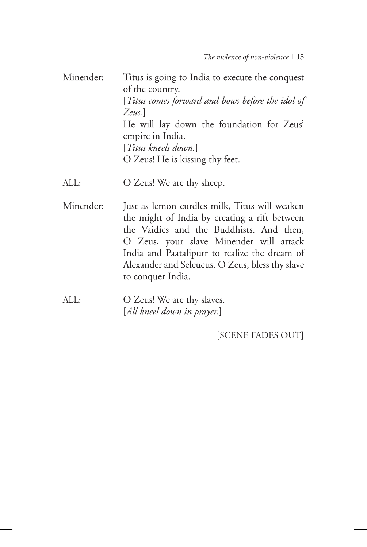Minender: Titus is going to India to execute the conquest of the country. [*Titus comes forward and bows before the idol of Zeus.*] He will lay down the foundation for Zeus' empire in India. [*Titus kneels down.*] O Zeus! He is kissing thy feet.

ALL: O Zeus! We are thy sheep.

- Minender: Just as lemon curdles milk, Titus will weaken the might of India by creating a rift between the Vaidics and the Buddhists. And then, O Zeus, your slave Minender will attack India and Paataliputr to realize the dream of Alexander and Seleucus. O Zeus, bless thy slave to conquer India.
- ALL: O Zeus! We are thy slaves. [*All kneel down in prayer.*]

[SCENE FADES OUT]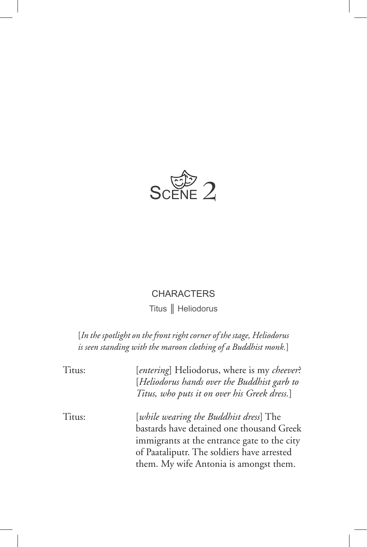

### **CHARACTERS**

Titus ║ Heliodorus

[*In the spotlight on the front right corner of the stage, Heliodorus is seen standing with the maroon clothing of a Buddhist monk.*]

| Titus: | [entering] Heliodorus, where is my cheever?<br>[Heliodorus hands over the Buddhist garb to<br>Titus, who puts it on over his Greek dress.] |
|--------|--------------------------------------------------------------------------------------------------------------------------------------------|
| Titus: | [while wearing the Buddhist dress] The                                                                                                     |
|        | bastards have detained one thousand Greek                                                                                                  |
|        | immigrants at the entrance gate to the city                                                                                                |
|        | of Paataliputr. The soldiers have arrested                                                                                                 |
|        | them. My wife Antonia is amongst them.                                                                                                     |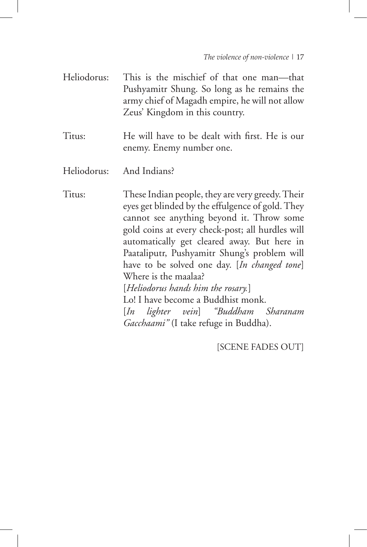- Heliodorus: This is the mischief of that one man—that Pushyamitr Shung. So long as he remains the army chief of Magadh empire, he will not allow Zeus' Kingdom in this country.
- Titus: He will have to be dealt with first. He is our enemy. Enemy number one.
- Heliodorus: And Indians?

Titus: These Indian people, they are very greedy. Their eyes get blinded by the effulgence of gold. They cannot see anything beyond it. Throw some gold coins at every check-post; all hurdles will automatically get cleared away. But here in Paataliputr, Pushyamitr Shung's problem will have to be solved one day. [*In changed tone*] Where is the maalaa? [*Heliodorus hands him the rosary.*] Lo! I have become a Buddhist monk. [*In lighter vein*] *"Buddham Sharanam Gacchaami"* (I take refuge in Buddha).

[SCENE FADES OUT]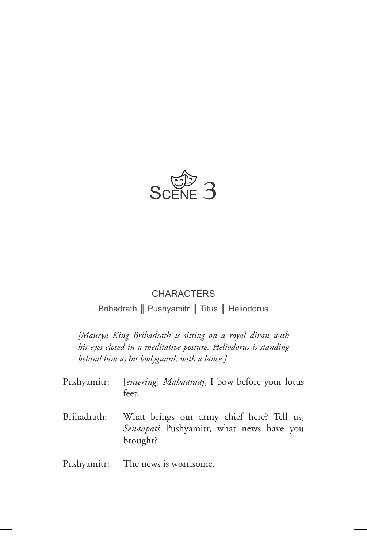

#### **CHARACTERS**

Brihadrath ║ Pushyamitr ║ Titus ║ Heliodorus

*[Maurya King Brihadrath is sitting on a royal divan with his eyes closed in a meditative posture. Heliodorus is standing behind him as his bodyguard, with a lance.]*

| Pushyamitr: [entering] Mahaaraaj, I bow before your lotus |       |  |  |  |
|-----------------------------------------------------------|-------|--|--|--|
|                                                           | feet. |  |  |  |

Brihadrath: What brings our army chief here? Tell us, *Senaapati* Pushyamitr, what news have you brought?

Pushyamitr: The news is worrisome.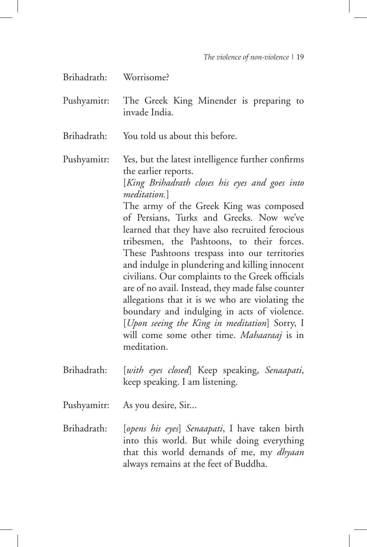| Worrisome? |
|------------|
|            |

- Pushyamitr: The Greek King Minender is preparing to invade India.
- Brihadrath: You told us about this before.
- Pushyamitr: Yes, but the latest intelligence further confirms the earlier reports.

[*King Brihadrath closes his eyes and goes into meditation.*]

The army of the Greek King was composed of Persians, Turks and Greeks. Now we've learned that they have also recruited ferocious tribesmen, the Pashtoons, to their forces. These Pashtoons trespass into our territories and indulge in plundering and killing innocent civilians. Our complaints to the Greek officials are of no avail. Instead, they made false counter allegations that it is we who are violating the boundary and indulging in acts of violence. [*Upon seeing the King in meditation*] Sorry, I will come some other time. *Mahaaraaj* is in meditation.

- Brihadrath: [*with eyes closed*] Keep speaking, *Senaapati*, keep speaking. I am listening.
- Pushyamitr: As you desire, Sir...
- Brihadrath: [*opens his eyes*] *Senaapati*, I have taken birth into this world. But while doing everything that this world demands of me, my *dhyaan* always remains at the feet of Buddha.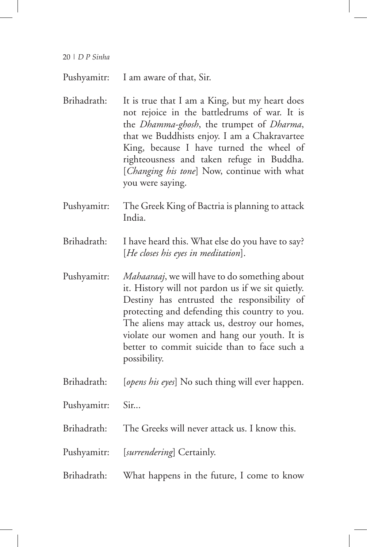Pushyamitr: I am aware of that, Sir.

Brihadrath: It is true that I am a King, but my heart does not rejoice in the battledrums of war. It is the *Dhamma-ghosh*, the trumpet of *Dharma*, that we Buddhists enjoy. I am a Chakravartee King, because I have turned the wheel of righteousness and taken refuge in Buddha. [*Changing his tone*] Now, continue with what you were saying.

- Pushyamitr: The Greek King of Bactria is planning to attack India.
- Brihadrath: I have heard this. What else do you have to say? [*He closes his eyes in meditation*].
- Pushyamitr: *Mahaaraaj*, we will have to do something about it. History will not pardon us if we sit quietly. Destiny has entrusted the responsibility of protecting and defending this country to you. The aliens may attack us, destroy our homes, violate our women and hang our youth. It is better to commit suicide than to face such a possibility.
- Brihadrath: [*opens his eyes*] No such thing will ever happen.
- Pushyamitr: Sir...
- Brihadrath: The Greeks will never attack us. I know this.
- Pushyamitr: [*surrendering*] Certainly.
- Brihadrath: What happens in the future, I come to know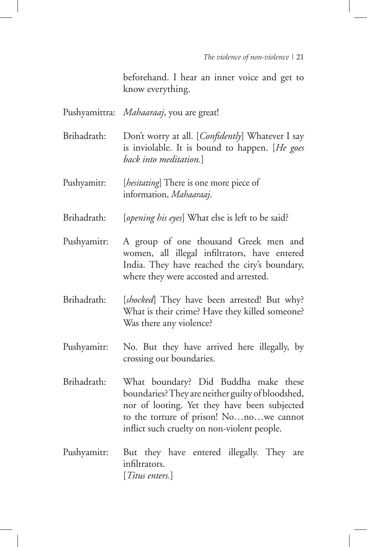beforehand. I hear an inner voice and get to know everything.

|             | Pushyamittra: Mahaaraaj, you are great!                                                                                                                                                                                             |  |  |
|-------------|-------------------------------------------------------------------------------------------------------------------------------------------------------------------------------------------------------------------------------------|--|--|
| Brihadrath: | Don't worry at all. [Confidently] Whatever I say<br>is inviolable. It is bound to happen. [He goes<br>back into meditation.]                                                                                                        |  |  |
| Pushyamitr: | [ <i>hesitating</i> ] There is one more piece of<br>information, Mahaaraaj.                                                                                                                                                         |  |  |
| Brihadrath: | [opening his eyes] What else is left to be said?                                                                                                                                                                                    |  |  |
| Pushyamitr: | A group of one thousand Greek men and<br>women, all illegal infiltrators, have entered<br>India. They have reached the city's boundary,<br>where they were accosted and arrested.                                                   |  |  |
| Brihadrath: | [shocked] They have been arrested! But why?<br>What is their crime? Have they killed someone?<br>Was there any violence?                                                                                                            |  |  |
| Pushyamitr: | No. But they have arrived here illegally, by<br>crossing our boundaries.                                                                                                                                                            |  |  |
| Brihadrath: | What boundary? Did Buddha make these<br>boundaries? They are neither guilty of bloodshed,<br>nor of looting. Yet they have been subjected<br>to the torture of prison! Nonowe cannot<br>inflict such cruelty on non-violent people. |  |  |
| Pushyamitr: | But they have entered illegally. They are<br>infiltrators.<br>[Titus enters.]                                                                                                                                                       |  |  |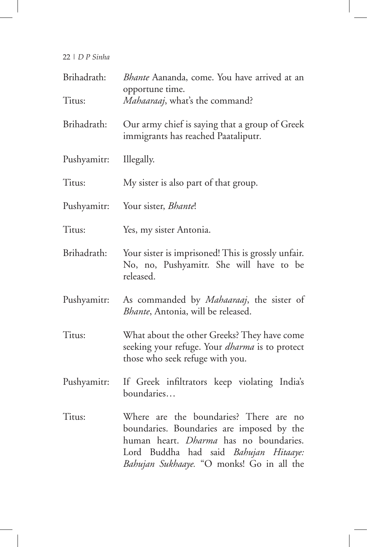| Brihadrath: | Bhante Aananda, come. You have arrived at an<br>opportune time.                                                                                                                                                                           |
|-------------|-------------------------------------------------------------------------------------------------------------------------------------------------------------------------------------------------------------------------------------------|
| Titus:      | Mahaaraaj, what's the command?                                                                                                                                                                                                            |
| Brihadrath: | Our army chief is saying that a group of Greek<br>immigrants has reached Paataliputr.                                                                                                                                                     |
| Pushyamitr: | Illegally.                                                                                                                                                                                                                                |
| Titus:      | My sister is also part of that group.                                                                                                                                                                                                     |
| Pushyamitr: | Your sister, <i>Bhante</i> !                                                                                                                                                                                                              |
| Titus:      | Yes, my sister Antonia.                                                                                                                                                                                                                   |
| Brihadrath: | Your sister is imprisoned! This is grossly unfair.<br>No, no, Pushyamitr. She will have to be<br>released.                                                                                                                                |
| Pushyamitr: | As commanded by <i>Mahaaraaj</i> , the sister of<br>Bhante, Antonia, will be released.                                                                                                                                                    |
| Titus:      | What about the other Greeks? They have come<br>seeking your refuge. Your <i>dharma</i> is to protect<br>those who seek refuge with you.                                                                                                   |
| Pushyamitr: | If Greek infiltrators keep violating India's<br>boundaries                                                                                                                                                                                |
| Titus:      | Where are the boundaries? There are<br>n <sub>o</sub><br>boundaries. Boundaries are imposed by the<br>human heart. <i>Dharma</i> has no boundaries.<br>Lord Buddha had said Bahujan Hitaaye:<br>Bahujan Sukhaaye. "O monks! Go in all the |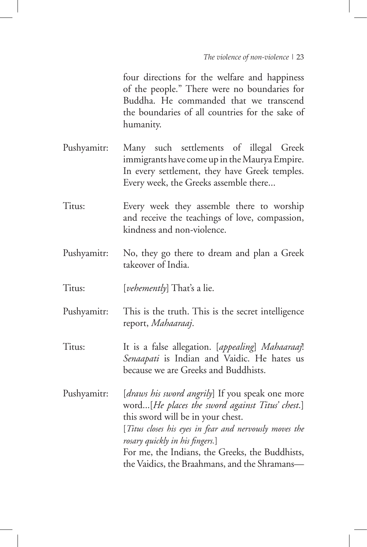four directions for the welfare and happiness of the people." There were no boundaries for Buddha. He commanded that we transcend the boundaries of all countries for the sake of humanity.

- Pushyamitr: Many such settlements of illegal Greek immigrants have come up in the Maurya Empire. In every settlement, they have Greek temples. Every week, the Greeks assemble there...
- Titus: Every week they assemble there to worship and receive the teachings of love, compassion, kindness and non-violence.
- Pushyamitr: No, they go there to dream and plan a Greek takeover of India.
- Titus: [*vehemently*] That's a lie.
- Pushyamitr: This is the truth. This is the secret intelligence report, *Mahaaraaj*.
- Titus: It is a false allegation. [*appealing*] *Mahaaraaj*! *Senaapati* is Indian and Vaidic. He hates us because we are Greeks and Buddhists.

Pushyamitr: [*draws his sword angrily*] If you speak one more word...[*He places the sword against Titus' chest*.] this sword will be in your chest. [*Titus closes his eyes in fear and nervously moves the rosary quickly in his fingers.*] For me, the Indians, the Greeks, the Buddhists,

the Vaidics, the Braahmans, and the Shramans—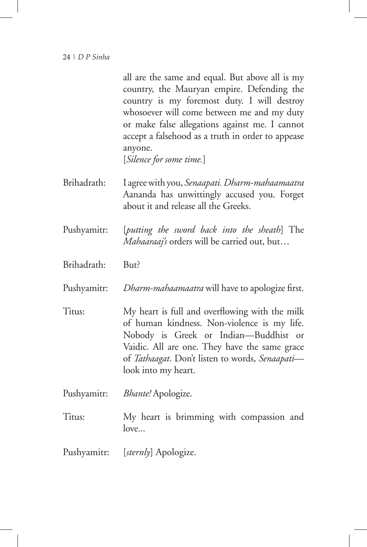all are the same and equal. But above all is my country, the Mauryan empire. Defending the country is my foremost duty. I will destroy whosoever will come between me and my duty or make false allegations against me. I cannot accept a falsehood as a truth in order to appease anyone.

[*Silence for some time.*]

- Brihadrath: I agree with you, *Senaapati.Dharm-mahaamaatra* Aananda has unwittingly accused you. Forget about it and release all the Greeks.
- Pushyamitr: [*putting the sword back into the sheath*] The *Mahaaraaj's* orders will be carried out, but…
- Brihadrath: But?

Pushyamitr: *Dharm-mahaamaatra* will have to apologize first.

- Titus: My heart is full and overflowing with the milk of human kindness. Non-violence is my life. Nobody is Greek or Indian—Buddhist or Vaidic. All are one. They have the same grace of *Tathaagat*. Don't listen to words, *Senaapati* look into my heart.
- Pushyamitr: *Bhante!* Apologize.
- Titus: My heart is brimming with compassion and love...
- Pushyamitr: [*sternly*] Apologize.